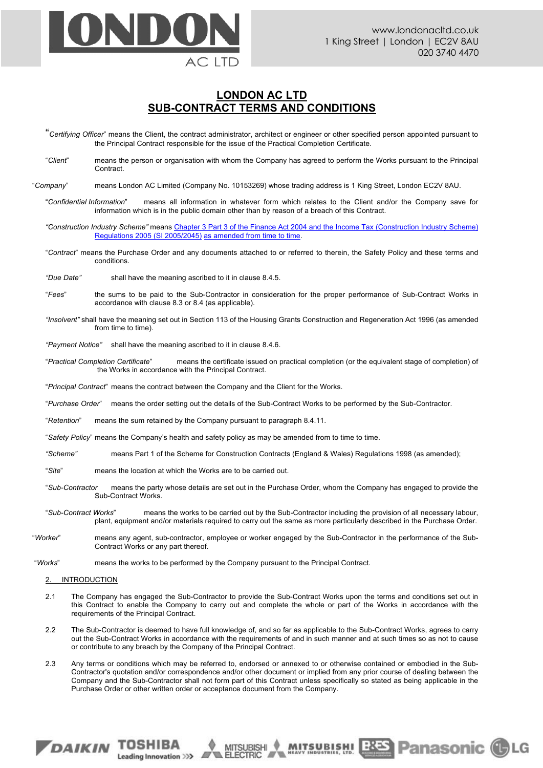

**MUTSUBISHI BRES Panasonic CLG** 

# **LONDON AC LTD SUB-CONTRACT TERMS AND CONDITIONS**

"*Certifying Officer*" means the Client, the contract administrator, architect or engineer or other specified person appointed pursuant to the Principal Contract responsible for the issue of the Practical Completion Certificate.

"*Client*" means the person or organisation with whom the Company has agreed to perform the Works pursuant to the Principal Contract.

"*Company*" means London AC Limited (Company No. 10153269) whose trading address is 1 King Street, London EC2V 8AU.

"*Confidential Information*" means all information in whatever form which relates to the Client and/or the Company save for information which is in the public domain other than by reason of a breach of this Contract.

*"Construction Industry Scheme"* means Chapter 3 Part 3 of the Finance Act 2004 and the Income Tax (Construction Industry Scheme) Regulations 2005 (SI 2005/2045) as amended from time to time.

"*Contract*" means the Purchase Order and any documents attached to or referred to therein, the Safety Policy and these terms and conditions.

*"Due Date"* shall have the meaning ascribed to it in clause 8.4.5.

- "*Fees*" the sums to be paid to the Sub-Contractor in consideration for the proper performance of Sub-Contract Works in accordance with clause 8.3 or 8.4 (as applicable).
- *"Insolvent"* shall have the meaning set out in Section 113 of the Housing Grants Construction and Regeneration Act 1996 (as amended from time to time).

*"Payment Notice"* shall have the meaning ascribed to it in clause 8.4.6.

"*Practical Completion Certificate*" means the certificate issued on practical completion (or the equivalent stage of completion) of the Works in accordance with the Principal Contract.

"*Principal Contract*" means the contract between the Company and the Client for the Works.

"*Purchase Order*" means the order setting out the details of the Sub-Contract Works to be performed by the Sub-Contractor.

"*Retention*" means the sum retained by the Company pursuant to paragraph 8.4.11.

- "*Safety Policy*" means the Company's health and safety policy as may be amended from to time to time.
- *"Scheme"* means Part 1 of the Scheme for Construction Contracts (England & Wales) Regulations 1998 (as amended);
- "*Site*" means the location at which the Works are to be carried out.
- "*Sub-Contractor* means the party whose details are set out in the Purchase Order, whom the Company has engaged to provide the Sub-Contract Works.
- "*Sub-Contract Works*" means the works to be carried out by the Sub-Contractor including the provision of all necessary labour, plant, equipment and/or materials required to carry out the same as more particularly described in the Purchase Order.
- "*Worker*" means any agent, sub-contractor, employee or worker engaged by the Sub-Contractor in the performance of the Sub-Contract Works or any part thereof.

"*Works*" means the works to be performed by the Company pursuant to the Principal Contract.

## 2. INTRODUCTION

*DAIKIN* TOSHIBA

Leading Innovation >>>

- 2.1 The Company has engaged the Sub-Contractor to provide the Sub-Contract Works upon the terms and conditions set out in this Contract to enable the Company to carry out and complete the whole or part of the Works in accordance with the requirements of the Principal Contract.
- 2.2 The Sub-Contractor is deemed to have full knowledge of, and so far as applicable to the Sub-Contract Works, agrees to carry out the Sub-Contract Works in accordance with the requirements of and in such manner and at such times so as not to cause or contribute to any breach by the Company of the Principal Contract.
- 2.3 Any terms or conditions which may be referred to, endorsed or annexed to or otherwise contained or embodied in the Sub-Contractor's quotation and/or correspondence and/or other document or implied from any prior course of dealing between the Company and the Sub-Contractor shall not form part of this Contract unless specifically so stated as being applicable in the Purchase Order or other written order or acceptance document from the Company.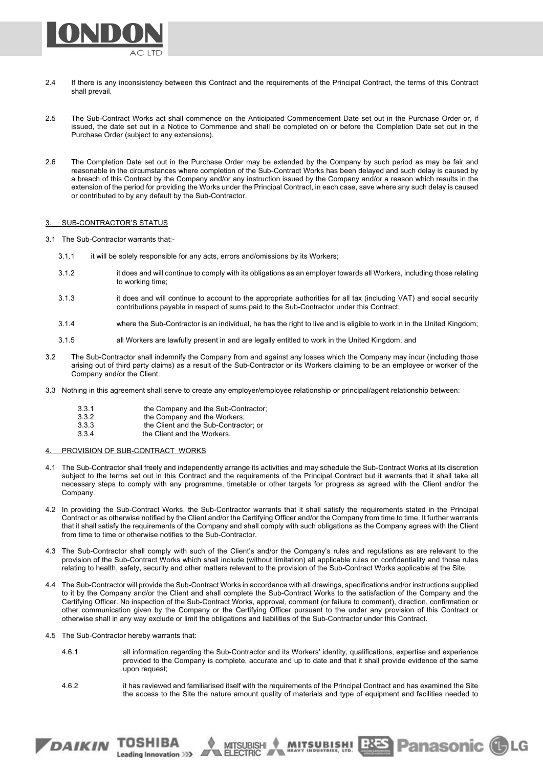

- 2.4 If there is any inconsistency between this Contract and the requirements of the Principal Contract, the terms of this Contract shall prevail.
- 2.5 The Sub-Contract Works act shall commence on the Anticipated Commencement Date set out in the Purchase Order or, if issued, the date set out in a Notice to Commence and shall be completed on or before the Completion Date set out in the Purchase Order (subject to any extensions).
- 2.6 The Completion Date set out in the Purchase Order may be extended by the Company by such period as may be fair and reasonable in the circumstances where completion of the Sub-Contract Works has been delayed and such delay is caused by a breach of this Contract by the Company and/or any instruction issued by the Company and/or a reason which results in the extension of the period for providing the Works under the Principal Contract, in each case, save where any such delay is caused or contributed to by any default by the Sub-Contractor.

## 3. SUB-CONTRACTOR'S STATUS

3.1 The Sub-Contractor warrants that:-

- 3.1.1 it will be solely responsible for any acts, errors and/omissions by its Workers;
- 3.1.2 it does and will continue to comply with its obligations as an employer towards all Workers, including those relating to working time;
- 3.1.3 it does and will continue to account to the appropriate authorities for all tax (including VAT) and social security contributions payable in respect of sums paid to the Sub-Contractor under this Contract;
- 3.1.4 where the Sub-Contractor is an individual, he has the right to live and is eligible to work in in the United Kingdom;
- 3.1.5 all Workers are lawfully present in and are legally entitled to work in the United Kingdom; and
- 3.2 The Sub-Contractor shall indemnify the Company from and against any losses which the Company may incur (including those arising out of third party claims) as a result of the Sub-Contractor or its Workers claiming to be an employee or worker of the Company and/or the Client.
- 3.3 Nothing in this agreement shall serve to create any employer/employee relationship or principal/agent relationship between:

3.3.1 the Company and the Sub-Contractor; 3.3.2 the Company and the Workers;<br>3.3.3 the Client and the Sub-Contract

- the Client and the Sub-Contractor; or
- 3.3.4 the Client and the Workers.

4. PROVISION OF SUB-CONTRACT WORKS

- 4.1 The Sub-Contractor shall freely and independently arrange its activities and may schedule the Sub-Contract Works at its discretion subject to the terms set out in this Contract and the requirements of the Principal Contract but it warrants that it shall take all necessary steps to comply with any programme, timetable or other targets for progress as agreed with the Client and/or the Company.
- 4.2 In providing the Sub-Contract Works, the Sub-Contractor warrants that it shall satisfy the requirements stated in the Principal Contract or as otherwise notified by the Client and/or the Certifying Officer and/or the Company from time to time. It further warrants that it shall satisfy the requirements of the Company and shall comply with such obligations as the Company agrees with the Client from time to time or otherwise notifies to the Sub-Contractor.
- 4.3 The Sub-Contractor shall comply with such of the Client's and/or the Company's rules and regulations as are relevant to the provision of the Sub-Contract Works which shall include (without limitation) all applicable rules on confidentiality and those rules relating to health, safety, security and other matters relevant to the provision of the Sub-Contract Works applicable at the Site.
- 4.4 The Sub-Contractor will provide the Sub-Contract Works in accordance with all drawings, specifications and/or instructions supplied to it by the Company and/or the Client and shall complete the Sub-Contract Works to the satisfaction of the Company and the Certifying Officer. No inspection of the Sub-Contract Works, approval, comment (or failure to comment), direction, confirmation or other communication given by the Company or the Certifying Officer pursuant to the under any provision of this Contract or otherwise shall in any way exclude or limit the obligations and liabilities of the Sub-Contractor under this Contract.
- 4.5 The Sub-Contractor hereby warrants that:

DAIKIN TOSHIBA

Leading Innovation >>>

- 4.6.1 all information regarding the Sub-Contractor and its Workers' identity, qualifications, expertise and experience provided to the Company is complete, accurate and up to date and that it shall provide evidence of the same upon request;
- 4.6.2 it has reviewed and familiarised itself with the requirements of the Principal Contract and has examined the Site the access to the Site the nature amount quality of materials and type of equipment and facilities needed to

MITSUBISHI

**MUTSUBLEM! EXES Panasonic CLG**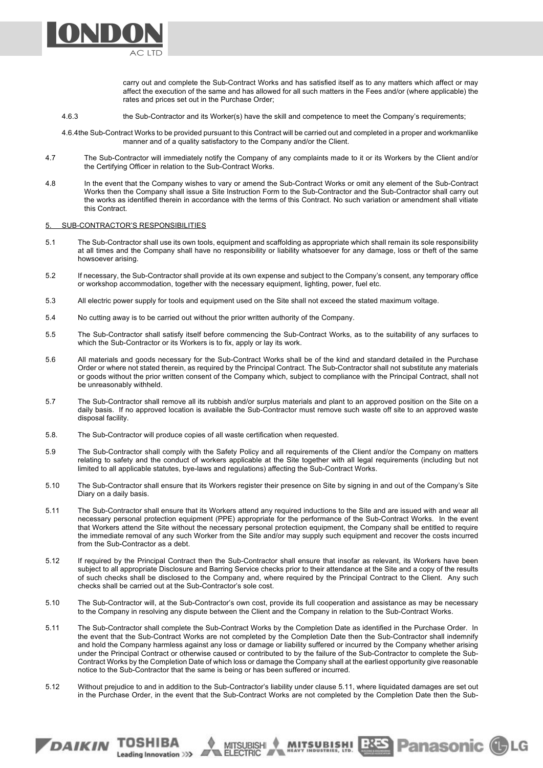carry out and complete the Sub-Contract Works and has satisfied itself as to any matters which affect or may affect the execution of the same and has allowed for all such matters in the Fees and/or (where applicable) the rates and prices set out in the Purchase Order;

- 4.6.3 the Sub-Contractor and its Worker(s) have the skill and competence to meet the Company's requirements;
- 4.6.4the Sub-Contract Works to be provided pursuant to this Contract will be carried out and completed in a proper and workmanlike manner and of a quality satisfactory to the Company and/or the Client.
- 4.7 The Sub-Contractor will immediately notify the Company of any complaints made to it or its Workers by the Client and/or the Certifying Officer in relation to the Sub-Contract Works.
- 4.8 In the event that the Company wishes to vary or amend the Sub-Contract Works or omit any element of the Sub-Contract Works then the Company shall issue a Site Instruction Form to the Sub-Contractor and the Sub-Contractor shall carry out the works as identified therein in accordance with the terms of this Contract. No such variation or amendment shall vitiate this Contract.

### 5. SUB-CONTRACTOR'S RESPONSIBILITIES

DAIKIN TOSHIBA

Leading Innovation >>>

NH) I

- 5.1 The Sub-Contractor shall use its own tools, equipment and scaffolding as appropriate which shall remain its sole responsibility at all times and the Company shall have no responsibility or liability whatsoever for any damage, loss or theft of the same howsoever arising.
- 5.2 If necessary, the Sub-Contractor shall provide at its own expense and subject to the Company's consent, any temporary office or workshop accommodation, together with the necessary equipment, lighting, power, fuel etc.
- 5.3 All electric power supply for tools and equipment used on the Site shall not exceed the stated maximum voltage.
- 5.4 No cutting away is to be carried out without the prior written authority of the Company.
- 5.5 The Sub-Contractor shall satisfy itself before commencing the Sub-Contract Works, as to the suitability of any surfaces to which the Sub-Contractor or its Workers is to fix, apply or lay its work.
- 5.6 All materials and goods necessary for the Sub-Contract Works shall be of the kind and standard detailed in the Purchase Order or where not stated therein, as required by the Principal Contract. The Sub-Contractor shall not substitute any materials or goods without the prior written consent of the Company which, subject to compliance with the Principal Contract, shall not be unreasonably withheld.
- 5.7 The Sub-Contractor shall remove all its rubbish and/or surplus materials and plant to an approved position on the Site on a daily basis. If no approved location is available the Sub-Contractor must remove such waste off site to an approved waste disposal facility.
- 5.8. The Sub-Contractor will produce copies of all waste certification when requested.
- 5.9 The Sub-Contractor shall comply with the Safety Policy and all requirements of the Client and/or the Company on matters relating to safety and the conduct of workers applicable at the Site together with all legal requirements (including but not limited to all applicable statutes, bye-laws and regulations) affecting the Sub-Contract Works.
- 5.10 The Sub-Contractor shall ensure that its Workers register their presence on Site by signing in and out of the Company's Site Diary on a daily basis.
- 5.11 The Sub-Contractor shall ensure that its Workers attend any required inductions to the Site and are issued with and wear all necessary personal protection equipment (PPE) appropriate for the performance of the Sub-Contract Works. In the event that Workers attend the Site without the necessary personal protection equipment, the Company shall be entitled to require the immediate removal of any such Worker from the Site and/or may supply such equipment and recover the costs incurred from the Sub-Contractor as a debt.
- 5.12 If required by the Principal Contract then the Sub-Contractor shall ensure that insofar as relevant, its Workers have been subject to all appropriate Disclosure and Barring Service checks prior to their attendance at the Site and a copy of the results of such checks shall be disclosed to the Company and, where required by the Principal Contract to the Client. Any such checks shall be carried out at the Sub-Contractor's sole cost.
- 5.10 The Sub-Contractor will, at the Sub-Contractor's own cost, provide its full cooperation and assistance as may be necessary to the Company in resolving any dispute between the Client and the Company in relation to the Sub-Contract Works.
- 5.11 The Sub-Contractor shall complete the Sub-Contract Works by the Completion Date as identified in the Purchase Order. In the event that the Sub-Contract Works are not completed by the Completion Date then the Sub-Contractor shall indemnify and hold the Company harmless against any loss or damage or liability suffered or incurred by the Company whether arising under the Principal Contract or otherwise caused or contributed to by the failure of the Sub-Contractor to complete the Sub-Contract Works by the Completion Date of which loss or damage the Company shall at the earliest opportunity give reasonable notice to the Sub-Contractor that the same is being or has been suffered or incurred.
- 5.12 Without prejudice to and in addition to the Sub-Contractor's liability under clause 5.11, where liquidated damages are set out in the Purchase Order, in the event that the Sub-Contract Works are not completed by the Completion Date then the Sub-

MITSUBISHI

**MUTSUBLEM! BREST Panasonic CLG**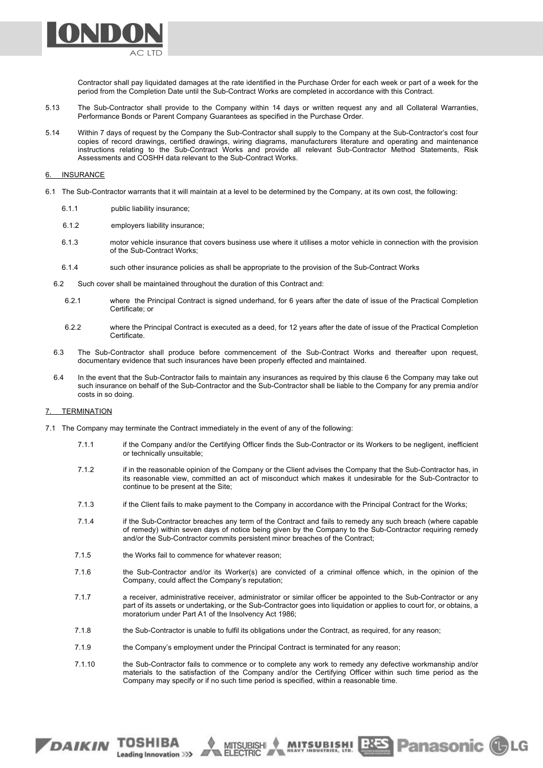

Contractor shall pay liquidated damages at the rate identified in the Purchase Order for each week or part of a week for the period from the Completion Date until the Sub-Contract Works are completed in accordance with this Contract.

- 5.13 The Sub-Contractor shall provide to the Company within 14 days or written request any and all Collateral Warranties, Performance Bonds or Parent Company Guarantees as specified in the Purchase Order.
- 5.14 Within 7 days of request by the Company the Sub-Contractor shall supply to the Company at the Sub-Contractor's cost four copies of record drawings, certified drawings, wiring diagrams, manufacturers literature and operating and maintenance instructions relating to the Sub-Contract Works and provide all relevant Sub-Contractor Method Statements, Risk Assessments and COSHH data relevant to the Sub-Contract Works.

## 6. INSURANCE

- 6.1 The Sub-Contractor warrants that it will maintain at a level to be determined by the Company, at its own cost, the following:
	- 6.1.1 public liability insurance;
	- 6.1.2 employers liability insurance;
	- 6.1.3 motor vehicle insurance that covers business use where it utilises a motor vehicle in connection with the provision of the Sub-Contract Works;
	- 6.1.4 such other insurance policies as shall be appropriate to the provision of the Sub-Contract Works
	- 6.2 Such cover shall be maintained throughout the duration of this Contract and:
		- 6.2.1 where the Principal Contract is signed underhand, for 6 years after the date of issue of the Practical Completion Certificate; or
		- 6.2.2 where the Principal Contract is executed as a deed, for 12 years after the date of issue of the Practical Completion Certificate.
	- 6.3 The Sub-Contractor shall produce before commencement of the Sub-Contract Works and thereafter upon request, documentary evidence that such insurances have been properly effected and maintained.
	- 6.4 In the event that the Sub-Contractor fails to maintain any insurances as required by this clause 6 the Company may take out such insurance on behalf of the Sub-Contractor and the Sub-Contractor shall be liable to the Company for any premia and/or costs in so doing.

### 7. TERMINATION

- 7.1 The Company may terminate the Contract immediately in the event of any of the following:
	- 7.1.1 if the Company and/or the Certifying Officer finds the Sub-Contractor or its Workers to be negligent, inefficient or technically unsuitable;
	- 7.1.2 if in the reasonable opinion of the Company or the Client advises the Company that the Sub-Contractor has, in its reasonable view, committed an act of misconduct which makes it undesirable for the Sub-Contractor to continue to be present at the Site;
	- 7.1.3 if the Client fails to make payment to the Company in accordance with the Principal Contract for the Works;
	- 7.1.4 if the Sub-Contractor breaches any term of the Contract and fails to remedy any such breach (where capable of remedy) within seven days of notice being given by the Company to the Sub-Contractor requiring remedy and/or the Sub-Contractor commits persistent minor breaches of the Contract;
	- 7.1.5 the Works fail to commence for whatever reason:

DAIKIN TOSHIBA

Leading Innovation >>>

- 7.1.6 the Sub-Contractor and/or its Worker(s) are convicted of a criminal offence which, in the opinion of the Company, could affect the Company's reputation;
- 7.1.7 a receiver, administrative receiver, administrator or similar officer be appointed to the Sub-Contractor or any part of its assets or undertaking, or the Sub-Contractor goes into liquidation or applies to court for, or obtains, a moratorium under Part A1 of the Insolvency Act 1986;
- 7.1.8 the Sub-Contractor is unable to fulfil its obligations under the Contract, as required, for any reason;
- 7.1.9 the Company's employment under the Principal Contract is terminated for any reason;

MITSUBISHI

7.1.10 the Sub-Contractor fails to commence or to complete any work to remedy any defective workmanship and/or materials to the satisfaction of the Company and/or the Certifying Officer within such time period as the Company may specify or if no such time period is specified, within a reasonable time.

 $\ddot{\phantom{0}}$ 

**MUTSUBISHI BRES Panasonic (C)LG**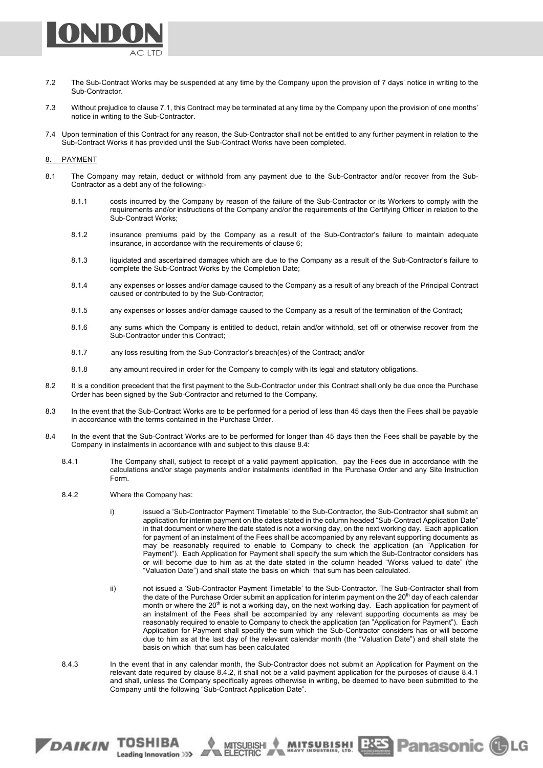

- 7.2 The Sub-Contract Works may be suspended at any time by the Company upon the provision of 7 days' notice in writing to the Sub-Contractor.
- 7.3 Without prejudice to clause 7.1, this Contract may be terminated at any time by the Company upon the provision of one months' notice in writing to the Sub-Contractor.
- 7.4 Upon termination of this Contract for any reason, the Sub-Contractor shall not be entitled to any further payment in relation to the Sub-Contract Works it has provided until the Sub-Contract Works have been completed.

## 8. PAYMENT

- 8.1 The Company may retain, deduct or withhold from any payment due to the Sub-Contractor and/or recover from the Sub-Contractor as a debt any of the following:-
	- 8.1.1 costs incurred by the Company by reason of the failure of the Sub-Contractor or its Workers to comply with the requirements and/or instructions of the Company and/or the requirements of the Certifying Officer in relation to the Sub-Contract Works;
	- 8.1.2 insurance premiums paid by the Company as a result of the Sub-Contractor's failure to maintain adequate insurance, in accordance with the requirements of clause 6;
	- 8.1.3 liquidated and ascertained damages which are due to the Company as a result of the Sub-Contractor's failure to complete the Sub-Contract Works by the Completion Date;
	- 8.1.4 any expenses or losses and/or damage caused to the Company as a result of any breach of the Principal Contract caused or contributed to by the Sub-Contractor;
	- 8.1.5 any expenses or losses and/or damage caused to the Company as a result of the termination of the Contract;
	- 8.1.6 any sums which the Company is entitled to deduct, retain and/or withhold, set off or otherwise recover from the Sub-Contractor under this Contract;
	- 8.1.7 any loss resulting from the Sub-Contractor's breach(es) of the Contract; and/or
	- 8.1.8 any amount required in order for the Company to comply with its legal and statutory obligations.
- 8.2 It is a condition precedent that the first payment to the Sub-Contractor under this Contract shall only be due once the Purchase Order has been signed by the Sub-Contractor and returned to the Company.
- 8.3 In the event that the Sub-Contract Works are to be performed for a period of less than 45 days then the Fees shall be payable in accordance with the terms contained in the Purchase Order.
- 8.4 In the event that the Sub-Contract Works are to be performed for longer than 45 days then the Fees shall be payable by the Company in instalments in accordance with and subject to this clause 8.4:
	- 8.4.1 The Company shall, subject to receipt of a valid payment application, pay the Fees due in accordance with the calculations and/or stage payments and/or instalments identified in the Purchase Order and any Site Instruction Form.
	- 8.4.2 Where the Company has:

DAIKIN TOSHIBA

Leading Innovation >>>

- i) issued a 'Sub-Contractor Payment Timetable' to the Sub-Contractor, the Sub-Contractor shall submit an application for interim payment on the dates stated in the column headed "Sub-Contract Application Date" in that document or where the date stated is not a working day, on the next working day. Each application for payment of an instalment of the Fees shall be accompanied by any relevant supporting documents as may be reasonably required to enable to Company to check the application (an "Application for Payment"). Each Application for Payment shall specify the sum which the Sub-Contractor considers has or will become due to him as at the date stated in the column headed "Works valued to date" (the "Valuation Date") and shall state the basis on which that sum has been calculated.
- ii) not issued a 'Sub-Contractor Payment Timetable' to the Sub-Contractor. The Sub-Contractor shall from the date of the Purchase Order submit an application for interim payment on the 20<sup>th</sup> day of each calendar month or where the 20<sup>th</sup> is not a working day, on the next working day. Each application for payment of an instalment of the Fees shall be accompanied by any relevant supporting documents as may be reasonably required to enable to Company to check the application (an "Application for Payment"). Each Application for Payment shall specify the sum which the Sub-Contractor considers has or will become due to him as at the last day of the relevant calendar month (the "Valuation Date") and shall state the basis on which that sum has been calculated

**MUTSUBISHI BRES Panasonic CLG** 

8.4.3 In the event that in any calendar month, the Sub-Contractor does not submit an Application for Payment on the relevant date required by clause 8.4.2, it shall not be a valid payment application for the purposes of clause 8.4.1 and shall, unless the Company specifically agrees otherwise in writing, be deemed to have been submitted to the Company until the following "Sub-Contract Application Date".

 $\bullet$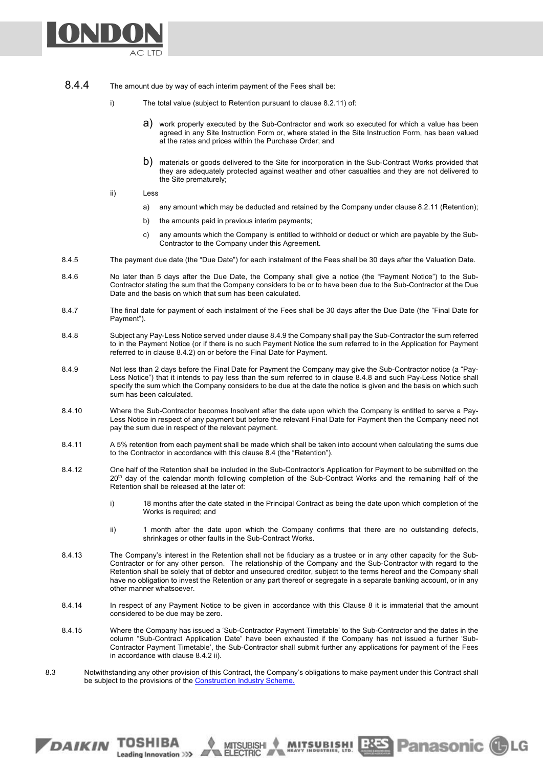

- 8.4.4 The amount due by way of each interim payment of the Fees shall be:
	- i) The total value (subject to Retention pursuant to clause 8.2.11) of:
		- a) work properly executed by the Sub-Contractor and work so executed for which a value has been agreed in any Site Instruction Form or, where stated in the Site Instruction Form, has been valued at the rates and prices within the Purchase Order; and
		- b) materials or goods delivered to the Site for incorporation in the Sub-Contract Works provided that they are adequately protected against weather and other casualties and they are not delivered to the Site prematurely;
	- ii) Less

DAIKIN TOSHIBA

Leading Innovation >>>

- a) any amount which may be deducted and retained by the Company under clause 8.2.11 (Retention);
- b) the amounts paid in previous interim payments;
- c) any amounts which the Company is entitled to withhold or deduct or which are payable by the Sub-Contractor to the Company under this Agreement.
- 8.4.5 The payment due date (the "Due Date") for each instalment of the Fees shall be 30 days after the Valuation Date.
- 8.4.6 No later than 5 days after the Due Date, the Company shall give a notice (the "Payment Notice") to the Sub-Contractor stating the sum that the Company considers to be or to have been due to the Sub-Contractor at the Due Date and the basis on which that sum has been calculated.
- 8.4.7 The final date for payment of each instalment of the Fees shall be 30 days after the Due Date (the "Final Date for Payment").
- 8.4.8 Subject any Pay-Less Notice served under clause 8.4.9 the Company shall pay the Sub-Contractor the sum referred to in the Payment Notice (or if there is no such Payment Notice the sum referred to in the Application for Payment referred to in clause 8.4.2) on or before the Final Date for Payment.
- 8.4.9 Not less than 2 days before the Final Date for Payment the Company may give the Sub-Contractor notice (a "Pay-Less Notice") that it intends to pay less than the sum referred to in clause 8.4.8 and such Pay-Less Notice shall specify the sum which the Company considers to be due at the date the notice is given and the basis on which such sum has been calculated.
- 8.4.10 Where the Sub-Contractor becomes Insolvent after the date upon which the Company is entitled to serve a Pay-Less Notice in respect of any payment but before the relevant Final Date for Payment then the Company need not pay the sum due in respect of the relevant payment.
- 8.4.11 A 5% retention from each payment shall be made which shall be taken into account when calculating the sums due to the Contractor in accordance with this clause 8.4 (the "Retention").
- 8.4.12 One half of the Retention shall be included in the Sub-Contractor's Application for Payment to be submitted on the 20<sup>th</sup> day of the calendar month following completion of the Sub-Contract Works and the remaining half of the Retention shall be released at the later of:
	- i) 18 months after the date stated in the Principal Contract as being the date upon which completion of the Works is required; and
	- ii) 1 month after the date upon which the Company confirms that there are no outstanding defects, shrinkages or other faults in the Sub-Contract Works.

**MUTSUBLEM! EXES Panasonic CLG** 

- 8.4.13 The Company's interest in the Retention shall not be fiduciary as a trustee or in any other capacity for the Sub-Contractor or for any other person. The relationship of the Company and the Sub-Contractor with regard to the Retention shall be solely that of debtor and unsecured creditor, subject to the terms hereof and the Company shall have no obligation to invest the Retention or any part thereof or segregate in a separate banking account, or in any other manner whatsoever.
- 8.4.14 In respect of any Payment Notice to be given in accordance with this Clause 8 it is immaterial that the amount considered to be due may be zero.
- 8.4.15 Where the Company has issued a 'Sub-Contractor Payment Timetable' to the Sub-Contractor and the dates in the column "Sub-Contract Application Date" have been exhausted if the Company has not issued a further 'Sub-Contractor Payment Timetable', the Sub-Contractor shall submit further any applications for payment of the Fees in accordance with clause 8.4.2 ii).
- 8.3 Notwithstanding any other provision of this Contract, the Company's obligations to make payment under this Contract shall be subject to the provisions of the Construction Industry Scheme.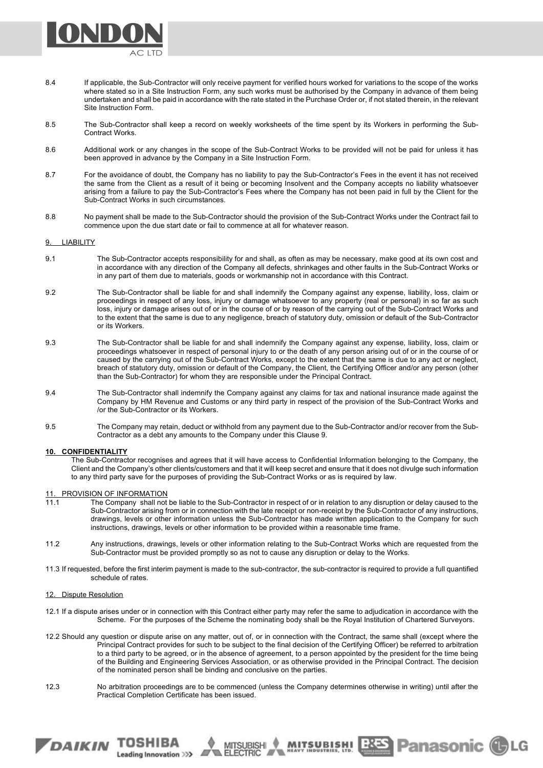

- 8.4 If applicable, the Sub-Contractor will only receive payment for verified hours worked for variations to the scope of the works where stated so in a Site Instruction Form, any such works must be authorised by the Company in advance of them being undertaken and shall be paid in accordance with the rate stated in the Purchase Order or, if not stated therein, in the relevant Site Instruction Form.
- 8.5 The Sub-Contractor shall keep a record on weekly worksheets of the time spent by its Workers in performing the Sub-Contract Works.
- 8.6 Additional work or any changes in the scope of the Sub-Contract Works to be provided will not be paid for unless it has been approved in advance by the Company in a Site Instruction Form.
- 8.7 For the avoidance of doubt, the Company has no liability to pay the Sub-Contractor's Fees in the event it has not received the same from the Client as a result of it being or becoming Insolvent and the Company accepts no liability whatsoever arising from a failure to pay the Sub-Contractor's Fees where the Company has not been paid in full by the Client for the Sub-Contract Works in such circumstances.
- 8.8 No payment shall be made to the Sub-Contractor should the provision of the Sub-Contract Works under the Contract fail to commence upon the due start date or fail to commence at all for whatever reason.

## 9. LIABILITY

- 9.1 The Sub-Contractor accepts responsibility for and shall, as often as may be necessary, make good at its own cost and in accordance with any direction of the Company all defects, shrinkages and other faults in the Sub-Contract Works or in any part of them due to materials, goods or workmanship not in accordance with this Contract.
- 9.2 The Sub-Contractor shall be liable for and shall indemnify the Company against any expense, liability, loss, claim or proceedings in respect of any loss, injury or damage whatsoever to any property (real or personal) in so far as such loss, injury or damage arises out of or in the course of or by reason of the carrying out of the Sub-Contract Works and to the extent that the same is due to any negligence, breach of statutory duty, omission or default of the Sub-Contractor or its Workers.
- 9.3 The Sub-Contractor shall be liable for and shall indemnify the Company against any expense, liability, loss, claim or proceedings whatsoever in respect of personal injury to or the death of any person arising out of or in the course of or caused by the carrying out of the Sub-Contract Works, except to the extent that the same is due to any act or neglect, breach of statutory duty, omission or default of the Company, the Client, the Certifying Officer and/or any person (other than the Sub-Contractor) for whom they are responsible under the Principal Contract.
- 9.4 The Sub-Contractor shall indemnify the Company against any claims for tax and national insurance made against the Company by HM Revenue and Customs or any third party in respect of the provision of the Sub-Contract Works and /or the Sub-Contractor or its Workers.
- 9.5 The Company may retain, deduct or withhold from any payment due to the Sub-Contractor and/or recover from the Sub-Contractor as a debt any amounts to the Company under this Clause 9.

# **10. CONFIDENTIALITY**

The Sub-Contractor recognises and agrees that it will have access to Confidential Information belonging to the Company, the Client and the Company's other clients/customers and that it will keep secret and ensure that it does not divulge such information to any third party save for the purposes of providing the Sub-Contract Works or as is required by law.

## 11. PROVISION OF INFORMATION

DAIKIN TOSHIBA

Leading Innovation >>>

- 11.1 The Company shall not be liable to the Sub-Contractor in respect of or in relation to any disruption or delay caused to the Sub-Contractor arising from or in connection with the late receipt or non-receipt by the Sub-Contractor of any instructions, drawings, levels or other information unless the Sub-Contractor has made written application to the Company for such instructions, drawings, levels or other information to be provided within a reasonable time frame.
- 11.2 Any instructions, drawings, levels or other information relating to the Sub-Contract Works which are requested from the Sub-Contractor must be provided promptly so as not to cause any disruption or delay to the Works.
- 11.3 If requested, before the first interim payment is made to the sub-contractor, the sub-contractor is required to provide a full quantified schedule of rates.

## 12. Dispute Resolution

- 12.1 If a dispute arises under or in connection with this Contract either party may refer the same to adjudication in accordance with the Scheme. For the purposes of the Scheme the nominating body shall be the Royal Institution of Chartered Surveyors.
- 12.2 Should any question or dispute arise on any matter, out of, or in connection with the Contract, the same shall (except where the Principal Contract provides for such to be subject to the final decision of the Certifying Officer) be referred to arbitration to a third party to be agreed, or in the absence of agreement, to a person appointed by the president for the time being of the Building and Engineering Services Association, or as otherwise provided in the Principal Contract. The decision of the nominated person shall be binding and conclusive on the parties.
- 12.3 No arbitration proceedings are to be commenced (unless the Company determines otherwise in writing) until after the Practical Completion Certificate has been issued.

**MUTSUBISHI BRES Panasonic CLG**